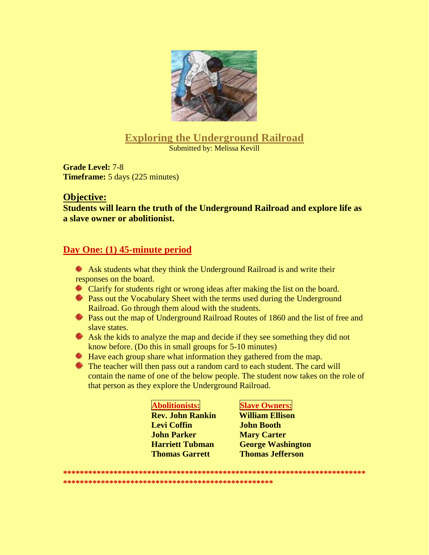

# **Exploring the Underground Railroad**

**Submitted by: Melissa Kevill** 

**Grade Level: 7-8 Timeframe:** 5 days (225 minutes)

#### **Objective:**

Students will learn the truth of the Underground Railroad and explore life as a slave owner or abolitionist.

## Day One: (1) 45-minute period

- Ask students what they think the Underground Railroad is and write their responses on the board.
- Clarify for students right or wrong ideas after making the list on the board.
- Pass out the Vocabulary Sheet with the terms used during the Underground Railroad. Go through them aloud with the students.
- Pass out the map of Underground Railroad Routes of 1860 and the list of free and slave states.
- \* Ask the kids to analyze the map and decide if they see something they did not know before. (Do this in small groups for 5-10 minutes)
- Have each group share what information they gathered from the map.
- The teacher will then pass out a random card to each student. The card will contain the name of one of the below people. The student now takes on the role of that person as they explore the Underground Railroad.

| <b>Abolitionists:</b>   |
|-------------------------|
| <b>Rev. John Rankin</b> |
| Levi Coffin             |
| John Parker             |
| <b>Harriett Tubman</b>  |
| <b>Thomas Garrett</b>   |

#### **Slave Owners:**

**William Ellison John Booth Mary Carter George Washington Thomas Jefferson**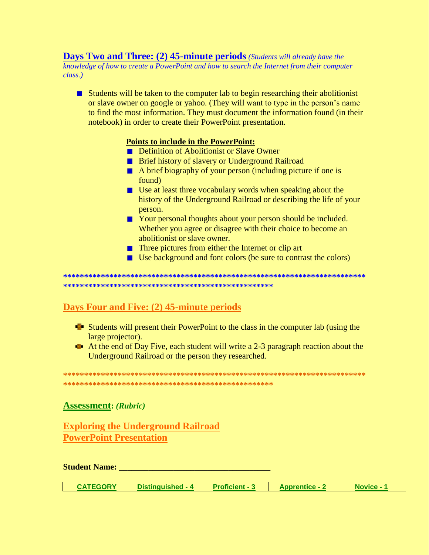#### **Days Two and Three: (2) 45-minute periods** (Students will already have the knowledge of how to create a PowerPoint and how to search the Internet from their computer class.)

 $\blacksquare$  Students will be taken to the computer lab to begin researching their abolitionist or slave owner on google or yahoo. (They will want to type in the person's name to find the most information. They must document the information found (in their notebook) in order to create their PowerPoint presentation.

#### **Points to include in the PowerPoint:**

- **E** Definition of Abolitionist or Slave Owner
- **E** Brief history of slavery or Underground Railroad
- $\blacksquare$  A brief biography of your person (including picture if one is found)
- $\blacksquare$  Use at least three vocabulary words when speaking about the history of the Underground Railroad or describing the life of your person.
- Your personal thoughts about your person should be included. Whether you agree or disagree with their choice to become an abolitionist or slave owner.
- $\blacksquare$  Three pictures from either the Internet or clip art
- $\blacksquare$  Use background and font colors (be sure to contrast the colors)

## Days Four and Five: (2) 45-minute periods

- **Example 1** Students will present their PowerPoint to the class in the computer lab (using the large projector).
- At the end of Day Five, each student will write a 2-3 paragraph reaction about the Underground Railroad or the person they researched.

#### **Assessment: (Rubric)**

**Exploring the Underground Railroad PowerPoint Presentation** 

**Student Name: Student Name:** *Company* 

| <b>CATEGORY</b><br><b>Proficient - 3</b><br>Distinguished - 4<br><b>Apprentice - 2</b><br><b>Novice -</b> |  |
|-----------------------------------------------------------------------------------------------------------|--|
|-----------------------------------------------------------------------------------------------------------|--|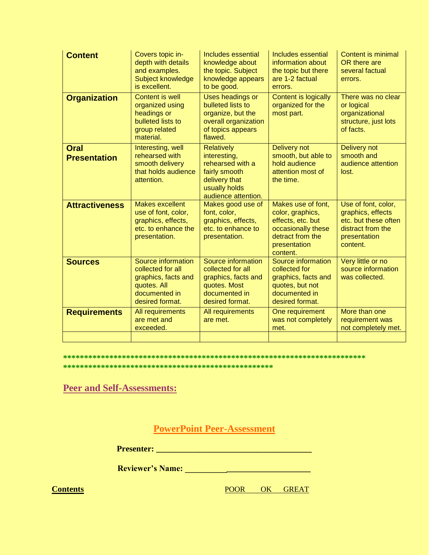| <b>Content</b>                     | Covers topic in-<br>depth with details<br>and examples.<br>Subject knowledge<br>is excellent.                     | <b>Includes essential</b><br>knowledge about<br>the topic. Subject<br>knowledge appears<br>to be good.                          | Includes essential<br>information about<br>the topic but there<br>are 1-2 factual<br>errors.                                      | <b>Content is minimal</b><br>OR there are<br>several factual<br>errors.                                           |
|------------------------------------|-------------------------------------------------------------------------------------------------------------------|---------------------------------------------------------------------------------------------------------------------------------|-----------------------------------------------------------------------------------------------------------------------------------|-------------------------------------------------------------------------------------------------------------------|
| <b>Organization</b>                | Content is well<br>organized using<br>headings or<br>bulleted lists to<br>group related<br>material.              | Uses headings or<br>bulleted lists to<br>organize, but the<br>overall organization<br>of topics appears<br>flawed.              | Content is logically<br>organized for the<br>most part.                                                                           | There was no clear<br>or logical<br>organizational<br>structure, just lots<br>of facts.                           |
| <b>Oral</b><br><b>Presentation</b> | Interesting, well<br>rehearsed with<br>smooth delivery<br>that holds audience<br>attention.                       | <b>Relatively</b><br>interesting,<br>rehearsed with a<br>fairly smooth<br>delivery that<br>usually holds<br>audience attention. | <b>Delivery not</b><br>smooth, but able to<br>hold audience<br>attention most of<br>the time.                                     | <b>Delivery not</b><br>smooth and<br>audience attention<br>lost.                                                  |
| <b>Attractiveness</b>              | <b>Makes excellent</b><br>use of font, color,<br>graphics, effects,<br>etc. to enhance the<br>presentation.       | Makes good use of<br>font, color,<br>graphics, effects,<br>etc. to enhance to<br>presentation.                                  | Makes use of font,<br>color, graphics,<br>effects, etc. but<br>occasionally these<br>detract from the<br>presentation<br>content. | Use of font, color,<br>graphics, effects<br>etc. but these often<br>distract from the<br>presentation<br>content. |
| <b>Sources</b>                     | Source information<br>collected for all<br>graphics, facts and<br>quotes. All<br>documented in<br>desired format. | Source information<br>collected for all<br>graphics, facts and<br>quotes. Most<br>documented in<br>desired format.              | Source information<br>collected for<br>graphics, facts and<br>quotes, but not<br>documented in<br>desired format.                 | Very little or no<br>source information<br>was collected.                                                         |
| <b>Requirements</b>                | All requirements<br>are met and<br>exceeded.                                                                      | All requirements<br>are met.                                                                                                    | One requirement<br>was not completely<br>met.                                                                                     | More than one<br>requirement was<br>not completely met.                                                           |
|                                    |                                                                                                                   |                                                                                                                                 |                                                                                                                                   |                                                                                                                   |

#### 

**Peer and Self-Assessments:** 

**PowerPoint Peer-Assessment** 

**Contents** 

POOR OK GREAT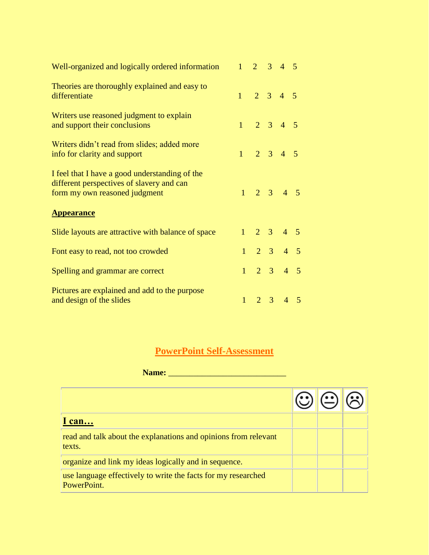| Well-organized and logically ordered information                                                                             |              | $1 \t2 \t3 \t4 \t5$                                        |                             |  |
|------------------------------------------------------------------------------------------------------------------------------|--------------|------------------------------------------------------------|-----------------------------|--|
| Theories are thoroughly explained and easy to<br>differentiate                                                               |              | $1 \t2 \t3 \t4 \t5$                                        |                             |  |
| Writers use reasoned judgment to explain<br>and support their conclusions                                                    |              | $1 \t2 \t3 \t4 \t5$                                        |                             |  |
| Writers didn't read from slides; added more<br>info for clarity and support                                                  |              | $1 \t2 \t3 \t4 \t5$                                        |                             |  |
| I feel that I have a good understanding of the<br>different perspectives of slavery and can<br>form my own reasoned judgment |              | $\begin{array}{ccccccccc}\n1 & 2 & 3 & 4 & 5\n\end{array}$ |                             |  |
| <b>Appearance</b>                                                                                                            |              |                                                            |                             |  |
| Slide layouts are attractive with balance of space                                                                           |              | $1 \t2 \t3 \t4 \t5$                                        |                             |  |
| Font easy to read, not too crowded                                                                                           |              | $1 \quad 2 \quad 3 \quad 4 \quad 5$                        |                             |  |
| Spelling and grammar are correct                                                                                             |              | $1 \quad 2 \quad 3 \quad 4 \quad 5$                        |                             |  |
| Pictures are explained and add to the purpose<br>and design of the slides                                                    | $\mathbf{1}$ |                                                            | $2 \quad 3 \quad 4 \quad 5$ |  |

# **PowerPoint Self-Assessment**

**Name:** \_\_\_\_\_\_\_\_\_\_\_\_\_\_\_\_\_\_\_\_\_\_\_\_\_\_\_\_

| can                                                                          |  |  |
|------------------------------------------------------------------------------|--|--|
| read and talk about the explanations and opinions from relevant<br>texts.    |  |  |
| organize and link my ideas logically and in sequence.                        |  |  |
| use language effectively to write the facts for my researched<br>PowerPoint. |  |  |